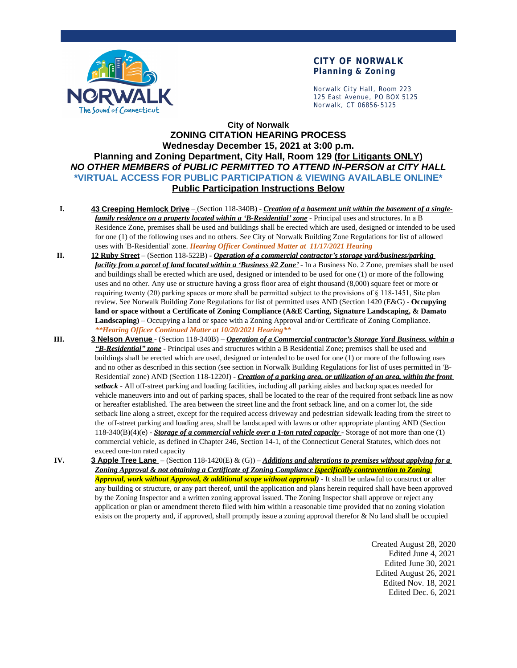

#### **CITY OF NORWALK Planning & Zoning**

Norwalk City Hall, Room 223 125 East Avenue, PO BOX 5125 Norwalk, CT 06856-5125

### **City of Norwalk ZONING CITATION HEARING PROCESS Wednesday December 15, 2021 at 3:00 p.m. Planning and Zoning Department, City Hall, Room 129 (for Litigants ONLY)** *NO OTHER MEMBERS of PUBLIC PERMITTED TO ATTEND IN-PERSON at CITY HALL* **\*VIRTUAL ACCESS FOR PUBLIC PARTICIPATION & VIEWING AVAILABLE ONLINE\* Public Participation Instructions Below**

- **I. 43 Creeping Hemlock Drive** (Section 118-340B) *Creation of a basement unit within the basement of a singlefamily residence on a property located within a 'B-Residential' zone* - Principal uses and structures. In a B Residence Zone, premises shall be used and buildings shall be erected which are used, designed or intended to be used for one (1) of the following uses and no others. See City of Norwalk Building Zone Regulations for list of allowed uses with 'B-Residential' zone. *Hearing Officer Continued Matter at 11/17/2021 Hearing*
- **II. 12 Ruby Street** (Section 118-522B) *Operation of a commercial contractor's storage yard/business/parking facility from a parcel of land located within a 'Business #2 Zone'* - In a Business No. 2 Zone, premises shall be used and buildings shall be erected which are used, designed or intended to be used for one (1) or more of the following uses and no other. Any use or structure having a gross floor area of eight thousand (8,000) square feet or more or requiring twenty (20) parking spaces or more shall be permitted subject to the provisions of § 118-1451, Site plan review. See Norwalk Building Zone Regulations for list of permitted uses AND (Section 1420 (E&G) - **Occupying land or space without a Certificate of Zoning Compliance (A&E Carting, Signature Landscaping, & Damato Landscaping)** – Occupying a land or space with a Zoning Approval and/or Certificate of Zoning Compliance. *\*\*Hearing Officer Continued Matter at 10/20/2021 Hearing\*\**
- **III. 3 Nelson Avenue** (Section 118-340B) *Operation of a Commercial contractor's Storage Yard Business, within a "B-Residential" zone* - Principal uses and structures within a B Residential Zone; premises shall be used and buildings shall be erected which are used, designed or intended to be used for one (1) or more of the following uses and no other as described in this section (see section in Norwalk Building Regulations for list of uses permitted in 'B-Residential' zone) AND (Section 118-1220J) - *Creation of a parking area, or utilization of an area, within the front setback* - All off-street parking and loading facilities, including all parking aisles and backup spaces needed for vehicle maneuvers into and out of parking spaces, shall be located to the rear of the required front setback line as now or hereafter established. The area between the street line and the front setback line, and on a corner lot, the side setback line along a street, except for the required access driveway and pedestrian sidewalk leading from the street to the off-street parking and loading area, shall be landscaped with lawns or other appropriate planting AND (Section 118-340(B)(4)(e) - *Storage of a commercial vehicle over a 1-ton rated capacity* - Storage of not more than one (1) commercial vehicle, as defined in Chapter 246, Section 14-1, of the Connecticut General Statutes, which does not exceed one-ton rated capacity

**IV. 3 Apple Tree Lane** – (Section 118-1420(E) & (G)) – *Additions and alterations to premises without applying for a Zoning Approval & not obtaining a Certificate of Zoning Compliance (specifically contravention to Zoning Approval, work without Approval, & additional scope without approval)* - It shall be unlawful to construct or alter any building or structure, or any part thereof, until the application and plans herein required shall have been approved by the Zoning Inspector and a written zoning approval issued. The Zoning Inspector shall approve or reject any application or plan or amendment thereto filed with him within a reasonable time provided that no zoning violation exists on the property and, if approved, shall promptly issue a zoning approval therefor & No land shall be occupied

> Created August 28, 2020 Edited June 4, 2021 Edited June 30, 2021 Edited August 26, 2021 Edited Nov. 18, 2021 Edited Dec. 6, 2021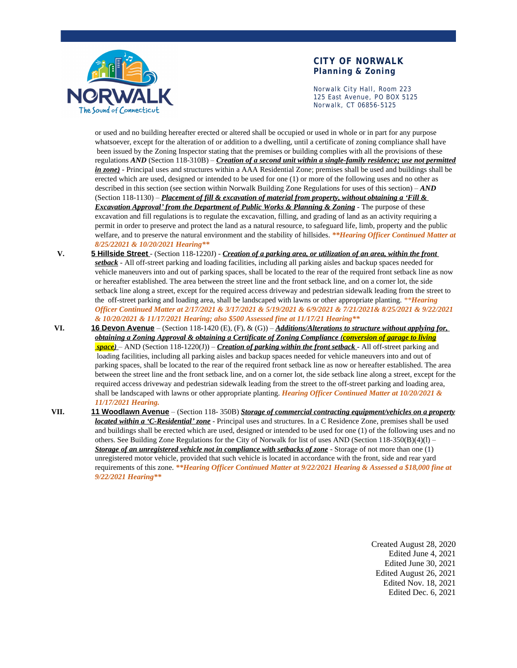

#### **CITY OF NORWALK Planning & Zoning**

Norwalk City Hall, Room 223 125 East Avenue, PO BOX 5125 Norwalk, CT 06856-5125

or used and no building hereafter erected or altered shall be occupied or used in whole or in part for any purpose whatsoever, except for the alteration of or addition to a dwelling, until a certificate of zoning compliance shall have been issued by the Zoning Inspector stating that the premises or building complies with all the provisions of these regulations *AND* (Section 118-310B) – *Creation of a second unit within a single-family residence; use not permitted in zone)* - Principal uses and structures within a AAA Residential Zone; premises shall be used and buildings shall be erected which are used, designed or intended to be used for one (1) or more of the following uses and no other as described in this section (see section within Norwalk Building Zone Regulations for uses of this section) – *AND* (Section 118-1130) – *Placement of fill & excavation of material from property, without obtaining a 'Fill & Excavation Approval' from the Department of Public Works & Planning & Zoning* - The purpose of these excavation and fill regulations is to regulate the excavation, filling, and grading of land as an activity requiring a permit in order to preserve and protect the land as a natural resource, to safeguard life, limb, property and the public welfare, and to preserve the natural environment and the stability of hillsides. *\*\*Hearing Officer Continued Matter at 8/25/22021 & 10/20/2021 Hearing\*\**

- **V. 5 Hillside Street** (Section 118-1220J) *Creation of a parking area, or utilization of an area, within the front setback* - All off-street parking and loading facilities, including all parking aisles and backup spaces needed for vehicle maneuvers into and out of parking spaces, shall be located to the rear of the required front setback line as now or hereafter established. The area between the street line and the front setback line, and on a corner lot, the side setback line along a street, except for the required access driveway and pedestrian sidewalk leading from the street to the off-street parking and loading area, shall be landscaped with lawns or other appropriate planting. *\*\*Hearing Officer Continued Matter at 2/17/2021 & 3/17/2021 & 5/19/2021 & 6/9/2021 & 7/21/2021& 8/25/2021 & 9/22/2021 & 10/20/2021 & 11/17/2021 Hearing; also \$500 Assessed fine at 11/17/21 Hearing\*\**
- **VI. 16 Devon Avenue** (Section 118-1420 (E), (F), & (G)) *Additions/Alterations to structure without applying for, obtaining a Zoning Approval & obtaining a Certificate of Zoning Compliance (conversion of garage to living space)* – AND (Section 118-1220(J)) – *Creation of parking within the front setback* - All off-street parking and loading facilities, including all parking aisles and backup spaces needed for vehicle maneuvers into and out of parking spaces, shall be located to the rear of the required front setback line as now or hereafter established. The area between the street line and the front setback line, and on a corner lot, the side setback line along a street, except for the required access driveway and pedestrian sidewalk leading from the street to the off-street parking and loading area, shall be landscaped with lawns or other appropriate planting. *Hearing Officer Continued Matter at 10/20/2021 & 11/17/2021 Hearing.*
- **VII. 11 Woodlawn Avenue** (Section 118- 350B) *Storage of commercial contracting equipment/vehicles on a property located within a 'C-Residential' zone* - Principal uses and structures. In a C Residence Zone, premises shall be used and buildings shall be erected which are used, designed or intended to be used for one (1) of the following uses and no others. See Building Zone Regulations for the City of Norwalk for list of uses AND (Section 118-350(B)(4)(l) – *Storage of an unregistered vehicle not in compliance with setbacks of zone* - Storage of not more than one (1) unregistered motor vehicle, provided that such vehicle is located in accordance with the front, side and rear yard requirements of this zone. *\*\*Hearing Officer Continued Matter at 9/22/2021 Hearing & Assessed a \$18,000 fine at 9/22/2021 Hearing\*\**

Created August 28, 2020 Edited June 4, 2021 Edited June 30, 2021 Edited August 26, 2021 Edited Nov. 18, 2021 Edited Dec. 6, 2021